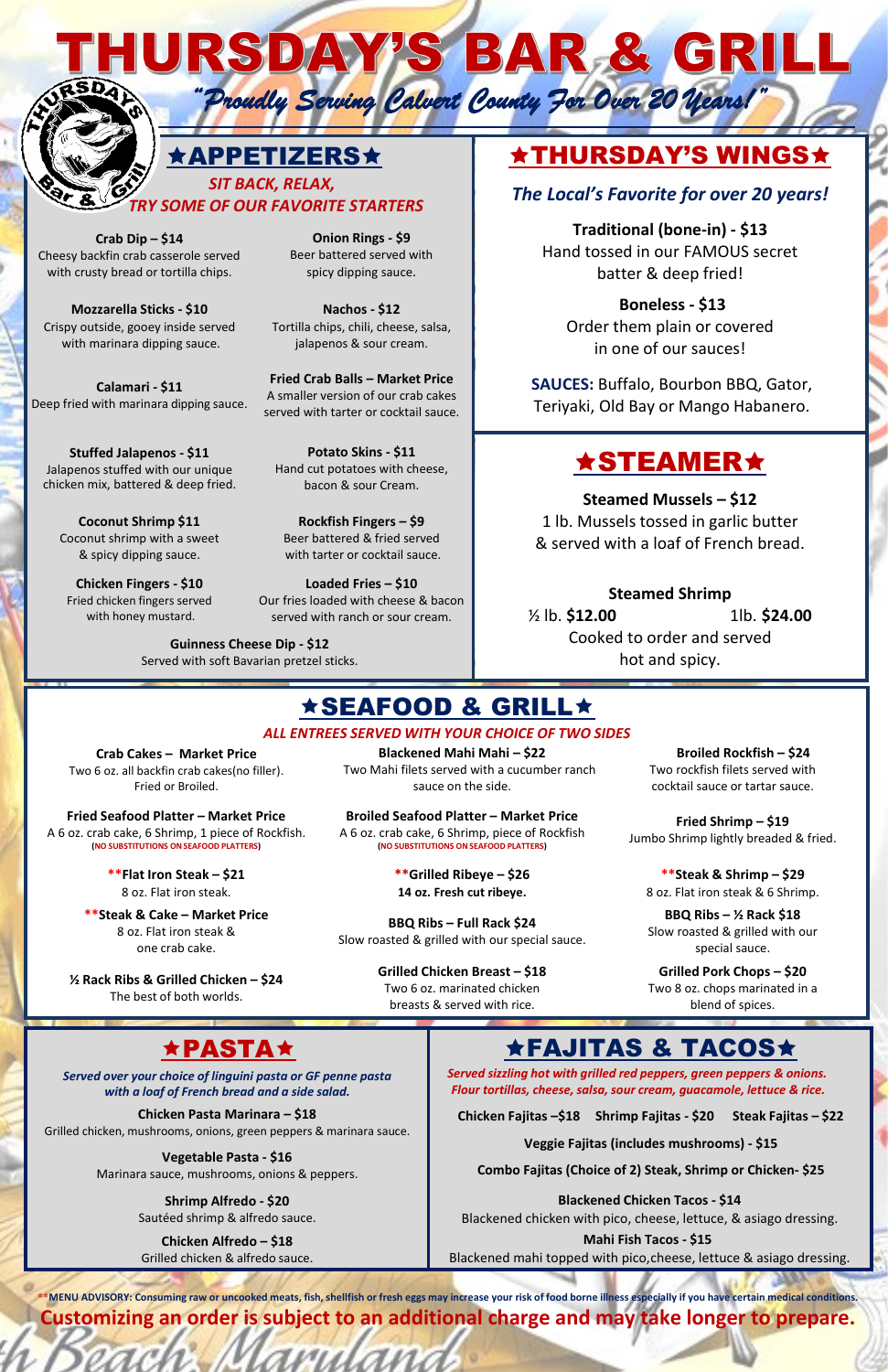HURSDAY/S BAR & GRILL

 *"Proudly Serving Calvert County For Over 20 Years!"* 



### APPETIZERS THURSDAY'S WINGS

 *SIT BACK, RELAX, TRY SOME OF OUR FAVORITE STARTERS The Local's Favorite for over <sup>20</sup> years!*

> **Traditional (bone-in) - \$13** Hand tossed in our FAMOUS secret batter & deep fried!

**Crab Dip – \$14** Cheesy backfin crab casserole served with crusty bread or tortilla chips.

**Onion Rings - \$9** Beer battered served with spicy dipping sauce.

**Mozzarella Sticks - \$10** Crispy outside, gooey inside served with marinara dipping sauce.

**Nachos - \$12** Tortilla chips, chili, cheese, salsa, jalapenos & sour cream.

**Boneless - \$13** Order them plain or covered in one of our sauces!

**Calamari - \$11** Deep fried with marinara dipping sauce.

**Fried Crab Balls – Market Price** A smaller version of our crab cakes served with tarter or cocktail sauce.

**SAUCES:** Buffalo, Bourbon BBQ, Gator, Teriyaki, Old Bay or Mango Habanero.

## **\*STEAMER\***

**Stuffed Jalapenos - \$11** Jalapenos stuffed with our unique chicken mix, battered & deep fried.

\*MENU ADVISORY: Consuming raw or uncooked meats, fish, shellfish or fresh eggs may increase your risk of food borne illness especially if you have certain medical conditions. **Customizing an order is subject to an additional charge and may take longer to prepare.**

**Potato Skins - \$11** Hand cut potatoes with cheese, bacon & sour Cream.

**Steamed Mussels – \$12** 1 lb. Mussels tossed in garlic butter & served with a loaf of French bread.

**Coconut Shrimp \$11** Coconut shrimp with a sweet & spicy dipping sauce.

**Rockfish Fingers – \$9** Beer battered & fried served with tarter or cocktail sauce.

**Chicken Fingers - \$10** Fried chicken fingers served with honey mustard.

**Loaded Fries – \$10** Our fries loaded with cheese & bacon served with ranch or sour cream.

#### **Steamed Shrimp**

½ lb. **\$12.00** 1lb. **\$24.00** Cooked to order and served hot and spicy.

### <u>**★SEAFOOD & GRILL★**</u>

**Guinness Cheese Dip - \$12** Served with soft Bavarian pretzel sticks.

#### *ALL ENTREES SERVED WITH YOUR CHOICE OF TWO SIDES*

**Crab Cakes – Market Price** Two 6 oz. all backfin crab cakes(no filler). Fried or Broiled.

**Blackened Mahi Mahi – \$22** Two Mahi filets served with a cucumber ranch sauce on the side.

**Broiled Rockfish – \$24** Two rockfish filets served with cocktail sauce or tartar sauce.

**Fried Seafood Platter – Market Price** A 6 oz. crab cake, 6 Shrimp, 1 piece of Rockfish. **(NO SUBSTITUTIONS ONSEAFOOD PLATTERS)**

**Broiled Seafood Platter – Market Price** A 6 oz. crab cake, 6 Shrimp, piece of Rockfish **(NO SUBSTITUTIONS ONSEAFOOD PLATTERS)**

**Fried Shrimp – \$19** Jumbo Shrimp lightly breaded & fried.

**\*\*Flat Iron Steak – \$21** 8 oz. Flat iron steak.

**\*\*Grilled Ribeye – \$26 14 oz. Fresh cut ribeye.**

**\*\*Steak & Shrimp – \$29** 8 oz. Flat iron steak & 6 Shrimp.

**\*\*Steak & Cake – Market Price** 8 oz. Flat iron steak & one crab cake.

**BBQ Ribs – Full Rack \$24** Slow roasted & grilled with our special sauce.

**BBQ Ribs – ½ Rack \$18** Slow roasted & grilled with our special sauce.

**½ Rack Ribs & Grilled Chicken – \$24** The best of both worlds.

**Grilled Chicken Breast – \$18**

Two 6 oz. marinated chicken breasts & served with rice.

**Grilled Pork Chops – \$20** Two 8 oz. chops marinated in a blend of spices.

*Served over your choice of linguini pasta or GF penne pasta with a loaf of French bread and a side salad.*

*Served sizzling hot with grilled red peppers, green peppers & onions. Flour tortillas, cheese, salsa, sour cream, guacamole, lettuce & rice.*

**Chicken Pasta Marinara – \$18**

Grilled chicken, mushrooms, onions, green peppers & marinara sauce.

**Chicken Fajitas –\$18 Shrimp Fajitas - \$20 Steak Fajitas – \$22**

**Veggie Fajitas (includes mushrooms) - \$15**

**Combo Fajitas (Choice of 2) Steak, Shrimp or Chicken- \$25**

**Vegetable Pasta - \$16** Marinara sauce, mushrooms, onions & peppers.

> **Shrimp Alfredo - \$20** Sautéed shrimp & alfredo sauce.

**Blackened Chicken Tacos - \$14** Blackened chicken with pico, cheese, lettuce, & asiago dressing. **Mahi Fish Tacos - \$15**

**Chicken Alfredo – \$18** Grilled chicken & alfredo sauce.

Seach Maryland

### ★PASTA★ FAJITAS & TACOS★

Blackened mahi topped with pico,cheese, lettuce & asiago dressing.